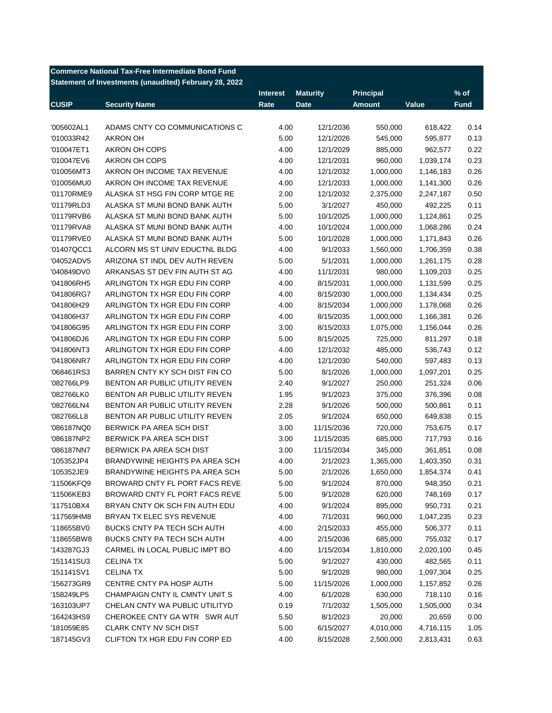|              | <b>Commerce National Tax-Free Intermediate Bond Fund</b> |                 |                 |                  |           |             |
|--------------|----------------------------------------------------------|-----------------|-----------------|------------------|-----------|-------------|
|              | Statement of Investments (unaudited) February 28, 2022   |                 |                 |                  |           |             |
|              |                                                          | <b>Interest</b> | <b>Maturity</b> | <b>Principal</b> |           | % of        |
| <b>CUSIP</b> | <b>Security Name</b>                                     | Rate            | <b>Date</b>     | <b>Amount</b>    | Value     | <b>Fund</b> |
|              |                                                          |                 |                 |                  |           |             |
| '005602AL1   | ADAMS CNTY CO COMMUNICATIONS C                           | 4.00            | 12/1/2036       | 550,000          | 618,422   | 0.14        |
| '010033R42   | AKRON OH                                                 | 5.00            | 12/1/2026       | 545,000          | 595,877   | 0.13        |
| '010047ET1   | AKRON OH COPS                                            | 4.00            | 12/1/2029       | 885,000          | 962,577   | 0.22        |
| '010047EV6   | AKRON OH COPS                                            | 4.00            | 12/1/2031       | 960,000          | 1,039,174 | 0.23        |
| '010056MT3   | AKRON OH INCOME TAX REVENUE                              | 4.00            | 12/1/2032       | 1,000,000        | 1,146,183 | 0.26        |
| '010056MU0   | AKRON OH INCOME TAX REVENUE                              | 4.00            | 12/1/2033       | 1,000,000        | 1,141,300 | 0.26        |
| '01170RME9   | ALASKA ST HSG FIN CORP MTGE RE                           | 2.00            | 12/1/2032       | 2,375,000        | 2,247,187 | 0.50        |
| '01179RLD3   | ALASKA ST MUNI BOND BANK AUTH                            | 5.00            | 3/1/2027        | 450,000          | 492,225   | 0.11        |
| '01179RVB6   | ALASKA ST MUNI BOND BANK AUTH                            | 5.00            | 10/1/2025       | 1,000,000        | 1,124,861 | 0.25        |
| '01179RVA8   | ALASKA ST MUNI BOND BANK AUTH                            | 4.00            | 10/1/2024       | 1,000,000        | 1,068,286 | 0.24        |
| '01179RVE0   | ALASKA ST MUNI BOND BANK AUTH                            | 5.00            | 10/1/2028       | 1,000,000        | 1,171,843 | 0.26        |
| '01407QCC1   | ALCORN MS ST UNIV EDUCTNL BLDG                           | 4.00            | 9/1/2033        | 1,560,000        | 1,706,359 | 0.38        |
| '04052ADV5   | ARIZONA ST INDL DEV AUTH REVEN                           | 5.00            | 5/1/2031        | 1,000,000        | 1,261,175 | 0.28        |
| '040849DV0   | ARKANSAS ST DEV FIN AUTH ST AG                           | 4.00            | 11/1/2031       | 980,000          | 1,109,203 | 0.25        |
| '041806RH5   | ARLINGTON TX HGR EDU FIN CORP                            | 4.00            | 8/15/2031       | 1,000,000        | 1,131,599 | 0.25        |
| '041806RG7   | ARLINGTON TX HGR EDU FIN CORP                            | 4.00            | 8/15/2030       | 1,000,000        | 1,134,434 | 0.25        |
| '041806H29   | ARLINGTON TX HGR EDU FIN CORP                            | 4.00            | 8/15/2034       | 1,000,000        | 1,178,068 | 0.26        |
| '041806H37   | ARLINGTON TX HGR EDU FIN CORP                            | 4.00            | 8/15/2035       | 1,000,000        | 1,166,381 | 0.26        |
| '041806G95   | ARLINGTON TX HGR EDU FIN CORP                            | 3.00            | 8/15/2033       | 1,075,000        | 1,156,044 | 0.26        |
| '041806DJ6   | ARLINGTON TX HGR EDU FIN CORP                            | 5.00            | 8/15/2025       | 725,000          | 811,297   | 0.18        |
| '041806NT3   | ARLINGTON TX HGR EDU FIN CORP                            | 4.00            | 12/1/2032       | 485,000          | 536,743   | 0.12        |
| '041806NR7   | ARLINGTON TX HGR EDU FIN CORP                            | 4.00            | 12/1/2030       | 540,000          | 597,483   | 0.13        |
| '068461RS3   | BARREN CNTY KY SCH DIST FIN CO                           | 5.00            | 8/1/2026        | 1,000,000        | 1,097,201 | 0.25        |
| '082766LP9   | BENTON AR PUBLIC UTILITY REVEN                           | 2.40            | 9/1/2027        | 250,000          | 251,324   | 0.06        |
| '082766LK0   | BENTON AR PUBLIC UTILITY REVEN                           | 1.95            | 9/1/2023        | 375,000          | 376,396   | 0.08        |
| '082766LN4   | BENTON AR PUBLIC UTILITY REVEN                           | 2.28            | 9/1/2026        | 500,000          | 500,861   | 0.11        |
| '082766LL8   | BENTON AR PUBLIC UTILITY REVEN                           | 2.05            | 9/1/2024        | 650,000          | 649,838   | 0.15        |
| '086187NQ0   | BERWICK PA AREA SCH DIST                                 | 3.00            | 11/15/2036      | 720,000          | 753,675   | 0.17        |
| '086187NP2   | BERWICK PA AREA SCH DIST                                 | 3.00            | 11/15/2035      | 685,000          | 717,793   | 0.16        |
| '086187NN7   | BERWICK PA AREA SCH DIST                                 | 3.00            | 11/15/2034      | 345,000          | 361,851   | 0.08        |
| '105352JP4   | BRANDYWINE HEIGHTS PA AREA SCH                           | 4.00            | 2/1/2023        | 1,365,000        | 1,403,350 | 0.31        |
| '105352JE9   | BRANDYWINE HEIGHTS PA AREA SCH                           | 5.00            | 2/1/2026        | 1,650,000        | 1,854,374 | 0.41        |
| '11506KFQ9   | BROWARD CNTY FL PORT FACS REVE                           | 5.00            | 9/1/2024        | 870,000          | 948,350   | 0.21        |
| '11506KEB3   | BROWARD CNTY FL PORT FACS REVE                           | 5.00            | 9/1/2028        | 620,000          | 748,169   | 0.17        |
| '117510BX4   | BRYAN CNTY OK SCH FIN AUTH EDU                           | 4.00            | 9/1/2024        | 895,000          | 950,731   | 0.21        |
| '117569HM8   | BRYAN TX ELEC SYS REVENUE                                | 4.00            | 7/1/2031        | 960,000          | 1,047,235 | 0.23        |
| '118655BV0   | BUCKS CNTY PA TECH SCH AUTH                              | 4.00            | 2/15/2033       | 455,000          | 506,377   | 0.11        |
| '118655BW8   | BUCKS CNTY PA TECH SCH AUTH                              | 4.00            | 2/15/2036       | 685,000          | 755,032   | 0.17        |
| '143287GJ3   | CARMEL IN LOCAL PUBLIC IMPT BO                           | 4.00            | 1/15/2034       | 1,810,000        | 2,020,100 | 0.45        |
| '151141SU3   | <b>CELINA TX</b>                                         | 5.00            | 9/1/2027        | 430,000          | 482,565   | 0.11        |
| '151141SV1   | <b>CELINA TX</b>                                         | 5.00            | 9/1/2028        | 980,000          | 1,097,304 | 0.25        |
| '156273GR9   | CENTRE CNTY PA HOSP AUTH                                 | 5.00            | 11/15/2026      | 1,000,000        | 1,157,852 | 0.26        |
| '158249LP5   | CHAMPAIGN CNTY IL CMNTY UNIT S                           | 4.00            | 6/1/2028        | 630,000          | 718,110   | 0.16        |
| '163103UP7   | CHELAN CNTY WA PUBLIC UTILITYD                           | 0.19            | 7/1/2032        | 1,505,000        | 1,505,000 | 0.34        |
| '164243HS9   | CHEROKEE CNTY GA WTR SWR AUT                             | 5.50            | 8/1/2023        | 20,000           | 20,659    | 0.00        |
| '181059E85   | <b>CLARK CNTY NV SCH DIST</b>                            | 5.00            | 6/15/2027       | 4,010,000        | 4,716,115 | 1.05        |
| '187145GV3   | CLIFTON TX HGR EDU FIN CORP ED                           | 4.00            | 8/15/2028       | 2,500,000        | 2,813,431 | 0.63        |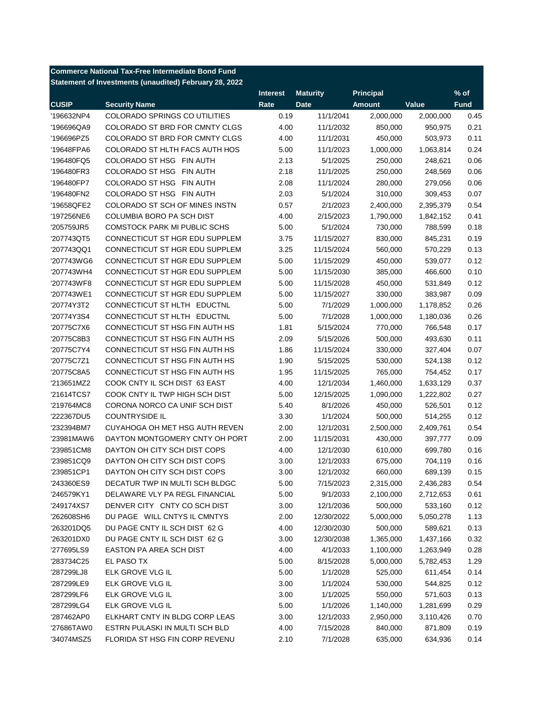| <b>Commerce National Tax-Free Intermediate Bond Fund</b> |                                                        |                 |                 |                  |           |             |  |
|----------------------------------------------------------|--------------------------------------------------------|-----------------|-----------------|------------------|-----------|-------------|--|
|                                                          | Statement of Investments (unaudited) February 28, 2022 |                 |                 |                  |           |             |  |
|                                                          |                                                        | <b>Interest</b> | <b>Maturity</b> | <b>Principal</b> |           | $%$ of      |  |
| <b>CUSIP</b>                                             | <b>Security Name</b>                                   | Rate            | <b>Date</b>     | <b>Amount</b>    | Value     | <b>Fund</b> |  |
| '196632NP4                                               | COLORADO SPRINGS CO UTILITIES                          | 0.19            | 11/1/2041       | 2,000,000        | 2,000,000 | 0.45        |  |
| '196696QA9                                               | COLORADO ST BRD FOR CMNTY CLGS                         | 4.00            | 11/1/2032       | 850,000          | 950,975   | 0.21        |  |
| '196696PZ5                                               | COLORADO ST BRD FOR CMNTY CLGS                         | 4.00            | 11/1/2031       | 450,000          | 503,973   | 0.11        |  |
| '19648FPA6                                               | COLORADO ST HLTH FACS AUTH HOS                         | 5.00            | 11/1/2023       | 1,000,000        | 1,063,814 | 0.24        |  |
| '196480FQ5                                               | COLORADO ST HSG FIN AUTH                               | 2.13            | 5/1/2025        | 250,000          | 248,621   | 0.06        |  |
| '196480FR3                                               | COLORADO ST HSG FIN AUTH                               | 2.18            | 11/1/2025       | 250,000          | 248,569   | 0.06        |  |
| '196480FP7                                               | COLORADO ST HSG FIN AUTH                               | 2.08            | 11/1/2024       | 280,000          | 279,056   | 0.06        |  |
| '196480FN2                                               | COLORADO ST HSG FIN AUTH                               | 2.03            | 5/1/2024        | 310,000          | 309,453   | 0.07        |  |
| '19658QFE2                                               | COLORADO ST SCH OF MINES INSTN                         | 0.57            | 2/1/2023        | 2,400,000        | 2,395,379 | 0.54        |  |
| '197256NE6                                               | COLUMBIA BORO PA SCH DIST                              | 4.00            | 2/15/2023       | 1,790,000        | 1,842,152 | 0.41        |  |
| '205759JR5                                               | COMSTOCK PARK MI PUBLIC SCHS                           | 5.00            | 5/1/2024        | 730,000          | 788,599   | 0.18        |  |
| '207743QT5                                               | CONNECTICUT ST HGR EDU SUPPLEM                         | 3.75            | 11/15/2027      | 830,000          | 845,231   | 0.19        |  |
| '207743QQ1                                               | CONNECTICUT ST HGR EDU SUPPLEM                         | 3.25            | 11/15/2024      | 560,000          | 570,229   | 0.13        |  |
| '207743WG6                                               | CONNECTICUT ST HGR EDU SUPPLEM                         | 5.00            | 11/15/2029      | 450,000          | 539,077   | 0.12        |  |
| '207743WH4                                               | CONNECTICUT ST HGR EDU SUPPLEM                         | 5.00            | 11/15/2030      | 385,000          | 466,600   | 0.10        |  |
| '207743WF8                                               | CONNECTICUT ST HGR EDU SUPPLEM                         | 5.00            | 11/15/2028      | 450,000          | 531,849   | 0.12        |  |
| '207743WE1                                               | CONNECTICUT ST HGR EDU SUPPLEM                         | 5.00            | 11/15/2027      | 330,000          | 383,987   | 0.09        |  |
| '20774Y3T2                                               | CONNECTICUT ST HLTH EDUCTNL                            | 5.00            | 7/1/2029        | 1,000,000        | 1,178,852 | 0.26        |  |
| '20774Y3S4                                               | CONNECTICUT ST HLTH EDUCTNL                            | 5.00            | 7/1/2028        | 1,000,000        | 1,180,036 | 0.26        |  |
| '20775C7X6                                               | CONNECTICUT ST HSG FIN AUTH HS                         | 1.81            | 5/15/2024       | 770,000          | 766,548   | 0.17        |  |
| '20775C8B3                                               | CONNECTICUT ST HSG FIN AUTH HS                         | 2.09            | 5/15/2026       | 500,000          | 493,630   | 0.11        |  |
| '20775C7Y4                                               | CONNECTICUT ST HSG FIN AUTH HS                         | 1.86            | 11/15/2024      | 330,000          | 327,404   | 0.07        |  |
| '20775C7Z1                                               | CONNECTICUT ST HSG FIN AUTH HS                         | 1.90            | 5/15/2025       | 530,000          | 524,138   | 0.12        |  |
| '20775C8A5                                               | CONNECTICUT ST HSG FIN AUTH HS                         | 1.95            | 11/15/2025      | 765,000          | 754,452   | 0.17        |  |
| '213651MZ2                                               | COOK CNTY IL SCH DIST 63 EAST                          | 4.00            | 12/1/2034       | 1,460,000        | 1,633,129 | 0.37        |  |
| '21614TCS7                                               | COOK CNTY IL TWP HIGH SCH DIST                         | 5.00            | 12/15/2025      | 1,090,000        | 1,222,802 | 0.27        |  |
| '219764MC8                                               | CORONA NORCO CA UNIF SCH DIST                          | 5.40            | 8/1/2026        | 450,000          | 526,501   | 0.12        |  |
| '222367DU5                                               | <b>COUNTRYSIDE IL</b>                                  | 3.30            | 1/1/2024        | 500,000          | 514,255   | 0.12        |  |
| '232394BM7                                               | CUYAHOGA OH MET HSG AUTH REVEN                         | 2.00            | 12/1/2031       | 2,500,000        | 2,409,761 | 0.54        |  |
| '23981MAW6                                               | DAYTON MONTGOMERY CNTY OH PORT                         | 2.00            | 11/15/2031      | 430,000          | 397,777   | 0.09        |  |
| '239851CM8                                               | DAYTON OH CITY SCH DIST COPS                           | 4.00            | 12/1/2030       | 610,000          | 699,780   | 0.16        |  |
| '239851CQ9                                               | DAYTON OH CITY SCH DIST COPS                           | 3.00            | 12/1/2033       | 675,000          | 704,119   | 0.16        |  |
| '239851CP1                                               | DAYTON OH CITY SCH DIST COPS                           | 3.00            | 12/1/2032       | 660,000          | 689,139   | 0.15        |  |
| '243360ES9                                               | DECATUR TWP IN MULTI SCH BLDGC                         | 5.00            | 7/15/2023       | 2,315,000        | 2,436,283 | 0.54        |  |
| '246579KY1                                               | DELAWARE VLY PA REGL FINANCIAL                         | 5.00            | 9/1/2033        | 2,100,000        | 2,712,653 | 0.61        |  |
| '249174XS7                                               | DENVER CITY CNTY CO SCH DIST                           | 3.00            | 12/1/2036       | 500,000          | 533,160   | 0.12        |  |
| '262608SH6                                               | DU PAGE WILL CNTYS IL CMNTYS                           | 2.00            | 12/30/2022      | 5,000,000        | 5,050,278 | 1.13        |  |
| '263201DQ5                                               | DU PAGE CNTY IL SCH DIST 62 G                          | 4.00            | 12/30/2030      | 500,000          | 589,621   | 0.13        |  |
| '263201DX0                                               | DU PAGE CNTY IL SCH DIST 62 G                          | 3.00            | 12/30/2038      | 1,365,000        | 1,437,166 | 0.32        |  |
| '277695LS9                                               | EASTON PA AREA SCH DIST                                | 4.00            | 4/1/2033        | 1,100,000        | 1,263,949 | 0.28        |  |
| '283734C25                                               | EL PASO TX                                             | 5.00            | 8/15/2028       | 5,000,000        | 5,782,453 | 1.29        |  |
| '287299LJ8                                               | ELK GROVE VLG IL                                       | 5.00            | 1/1/2028        | 525,000          | 611,454   | 0.14        |  |
| '287299LE9                                               | ELK GROVE VLG IL                                       | 3.00            | 1/1/2024        | 530,000          | 544,825   | 0.12        |  |
| '287299LF6                                               | ELK GROVE VLG IL                                       | 3.00            | 1/1/2025        | 550,000          | 571,603   | 0.13        |  |
| '287299LG4                                               | ELK GROVE VLG IL                                       | 5.00            | 1/1/2026        | 1,140,000        | 1,281,699 | 0.29        |  |
| '287462AP0                                               | ELKHART CNTY IN BLDG CORP LEAS                         | 3.00            | 12/1/2033       | 2,950,000        | 3,110,426 | 0.70        |  |
| '27686TAW0                                               | ESTRN PULASKI IN MULTI SCH BLD                         | 4.00            | 7/15/2028       | 840,000          | 871,809   | 0.19        |  |
| '34074MSZ5                                               | FLORIDA ST HSG FIN CORP REVENU                         | 2.10            | 7/1/2028        | 635,000          | 634,936   | 0.14        |  |
|                                                          |                                                        |                 |                 |                  |           |             |  |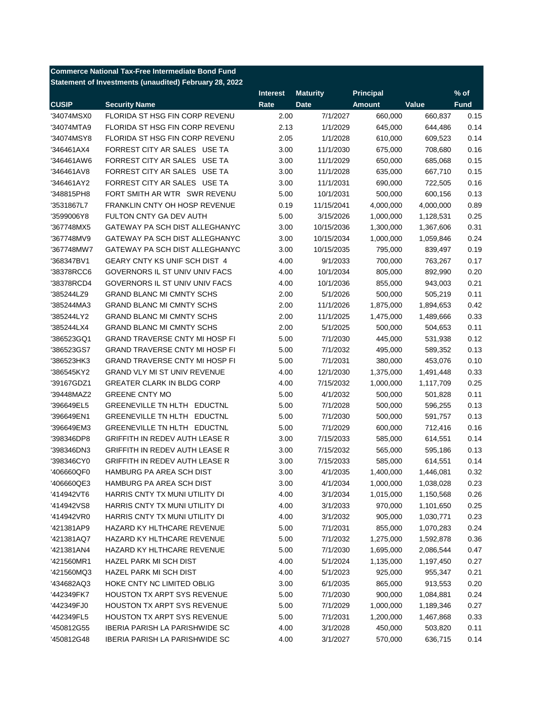|              | <b>Commerce National Tax-Free Intermediate Bond Fund</b> |                 |                 |                  |           |             |
|--------------|----------------------------------------------------------|-----------------|-----------------|------------------|-----------|-------------|
|              | Statement of Investments (unaudited) February 28, 2022   |                 |                 |                  |           |             |
|              |                                                          | <b>Interest</b> | <b>Maturity</b> | <b>Principal</b> |           | % of        |
| <b>CUSIP</b> | <b>Security Name</b>                                     | Rate            | <b>Date</b>     | <b>Amount</b>    | Value     | <b>Fund</b> |
| '34074MSX0   | FLORIDA ST HSG FIN CORP REVENU                           | 2.00            | 7/1/2027        | 660.000          | 660,837   | 0.15        |
| '34074MTA9   | FLORIDA ST HSG FIN CORP REVENU                           | 2.13            | 1/1/2029        | 645,000          | 644,486   | 0.14        |
| '34074MSY8   | FLORIDA ST HSG FIN CORP REVENU                           | 2.05            | 1/1/2028        | 610,000          | 609,523   | 0.14        |
| '346461AX4   | FORREST CITY AR SALES USE TA                             | 3.00            | 11/1/2030       | 675,000          | 708,680   | 0.16        |
| '346461AW6   | FORREST CITY AR SALES USE TA                             | 3.00            | 11/1/2029       | 650,000          | 685,068   | 0.15        |
| '346461AV8   | FORREST CITY AR SALES USE TA                             | 3.00            | 11/1/2028       | 635,000          | 667,710   | 0.15        |
| '346461AY2   | FORREST CITY AR SALES USE TA                             | 3.00            | 11/1/2031       | 690,000          | 722,505   | 0.16        |
| '348815PH8   | FORT SMITH AR WTR SWR REVENU                             | 5.00            | 10/1/2031       | 500,000          | 600,156   | 0.13        |
| '3531867L7   | <b>FRANKLIN CNTY OH HOSP REVENUE</b>                     | 0.19            | 11/15/2041      | 4,000,000        | 4,000,000 | 0.89        |
| '3599006Y8   | FULTON CNTY GA DEV AUTH                                  | 5.00            | 3/15/2026       | 1,000,000        | 1,128,531 | 0.25        |
| '367748MX5   | GATEWAY PA SCH DIST ALLEGHANYC                           | 3.00            | 10/15/2036      | 1,300,000        | 1,367,606 | 0.31        |
| '367748MV9   | GATEWAY PA SCH DIST ALLEGHANYC                           | 3.00            | 10/15/2034      | 1,000,000        | 1,059,846 | 0.24        |
| '367748MW7   | GATEWAY PA SCH DIST ALLEGHANYC                           | 3.00            | 10/15/2035      | 795,000          | 839,497   | 0.19        |
| '368347BV1   | GEARY CNTY KS UNIF SCH DIST 4                            | 4.00            | 9/1/2033        | 700,000          | 763,267   | 0.17        |
| '38378RCC6   | GOVERNORS IL ST UNIV UNIV FACS                           | 4.00            | 10/1/2034       | 805,000          | 892,990   | 0.20        |
| '38378RCD4   | GOVERNORS IL ST UNIV UNIV FACS                           | 4.00            | 10/1/2036       | 855,000          | 943,003   | 0.21        |
| '385244LZ9   | <b>GRAND BLANC MI CMNTY SCHS</b>                         | 2.00            | 5/1/2026        | 500,000          | 505,219   | 0.11        |
| '385244MA3   | <b>GRAND BLANC MI CMNTY SCHS</b>                         | 2.00            | 11/1/2026       | 1,875,000        | 1,894,653 | 0.42        |
| '385244LY2   | <b>GRAND BLANC MI CMNTY SCHS</b>                         | 2.00            | 11/1/2025       | 1,475,000        | 1,489,666 | 0.33        |
| '385244LX4   | <b>GRAND BLANC MI CMNTY SCHS</b>                         | 2.00            | 5/1/2025        | 500,000          | 504,653   | 0.11        |
| '386523GQ1   | <b>GRAND TRAVERSE CNTY MI HOSP FI</b>                    | 5.00            | 7/1/2030        | 445,000          | 531,938   | 0.12        |
| '386523GS7   | <b>GRAND TRAVERSE CNTY MI HOSP FI</b>                    | 5.00            | 7/1/2032        | 495,000          | 589,352   | 0.13        |
| '386523HK3   | <b>GRAND TRAVERSE CNTY MI HOSP FI</b>                    | 5.00            | 7/1/2031        | 380,000          | 453,076   | 0.10        |
| '386545KY2   | GRAND VLY MI ST UNIV REVENUE                             | 4.00            | 12/1/2030       | 1,375,000        | 1,491,448 | 0.33        |
| '39167GDZ1   | <b>GREATER CLARK IN BLDG CORP</b>                        | 4.00            | 7/15/2032       | 1,000,000        | 1,117,709 | 0.25        |
| '39448MAZ2   | <b>GREENE CNTY MO</b>                                    | 5.00            | 4/1/2032        | 500,000          | 501,828   | 0.11        |
| '396649EL5   | GREENEVILLE TN HLTH EDUCTNL                              | 5.00            | 7/1/2028        | 500,000          | 596,255   | 0.13        |
| '396649EN1   | GREENEVILLE TN HLTH EDUCTNL                              | 5.00            | 7/1/2030        | 500,000          | 591,757   | 0.13        |
| '396649EM3   | GREENEVILLE TN HLTH EDUCTNL                              | 5.00            | 7/1/2029        | 600,000          | 712,416   | 0.16        |
| '398346DP8   | <b>GRIFFITH IN REDEV AUTH LEASE R</b>                    | 3.00            | 7/15/2033       | 585,000          | 614,551   | 0.14        |
| '398346DN3   | <b>GRIFFITH IN REDEV AUTH LEASE R</b>                    | 3.00            | 7/15/2032       | 565,000          | 595,186   | 0.13        |
| '398346CY0   | <b>GRIFFITH IN REDEV AUTH LEASE R</b>                    | 3.00            | 7/15/2033       | 585,000          | 614,551   | 0.14        |
| '406660QF0   | HAMBURG PA AREA SCH DIST                                 | 3.00            | 4/1/2035        | 1,400,000        | 1,446,081 | 0.32        |
| '406660QE3   | HAMBURG PA AREA SCH DIST                                 | 3.00            | 4/1/2034        | 1,000,000        | 1,038,028 | 0.23        |
| '414942VT6   | HARRIS CNTY TX MUNI UTILITY DI                           | 4.00            | 3/1/2034        | 1,015,000        | 1,150,568 | 0.26        |
| '414942VS8   | HARRIS CNTY TX MUNI UTILITY DI                           | 4.00            | 3/1/2033        | 970,000          | 1,101,650 | 0.25        |
| '414942VR0   | HARRIS CNTY TX MUNI UTILITY DI                           | 4.00            | 3/1/2032        | 905,000          | 1,030,771 | 0.23        |
| '421381AP9   | HAZARD KY HLTHCARE REVENUE                               | 5.00            | 7/1/2031        | 855,000          | 1,070,283 | 0.24        |
| '421381AQ7   | HAZARD KY HLTHCARE REVENUE                               | 5.00            | 7/1/2032        | 1,275,000        | 1,592,878 | 0.36        |
| '421381AN4   | HAZARD KY HLTHCARE REVENUE                               | 5.00            | 7/1/2030        | 1,695,000        | 2,086,544 | 0.47        |
| '421560MR1   | HAZEL PARK MI SCH DIST                                   | 4.00            | 5/1/2024        | 1,135,000        | 1,197,450 | 0.27        |
| '421560MQ3   | <b>HAZEL PARK MI SCH DIST</b>                            | 4.00            | 5/1/2023        | 925,000          | 955,347   | 0.21        |
| '434682AQ3   | HOKE CNTY NC LIMITED OBLIG                               | 3.00            | 6/1/2035        | 865,000          | 913,553   | 0.20        |
| '442349FK7   | HOUSTON TX ARPT SYS REVENUE                              | 5.00            | 7/1/2030        | 900,000          | 1,084,881 | 0.24        |
| '442349FJ0   | HOUSTON TX ARPT SYS REVENUE                              | 5.00            | 7/1/2029        | 1,000,000        | 1,189,346 | 0.27        |
| '442349FL5   | <b>HOUSTON TX ARPT SYS REVENUE</b>                       | 5.00            | 7/1/2031        | 1,200,000        | 1,467,868 | 0.33        |
| '450812G55   | <b>IBERIA PARISH LA PARISHWIDE SC</b>                    | 4.00            | 3/1/2028        | 450,000          | 503,820   | 0.11        |
| '450812G48   | <b>IBERIA PARISH LA PARISHWIDE SC</b>                    | 4.00            | 3/1/2027        | 570,000          | 636,715   | 0.14        |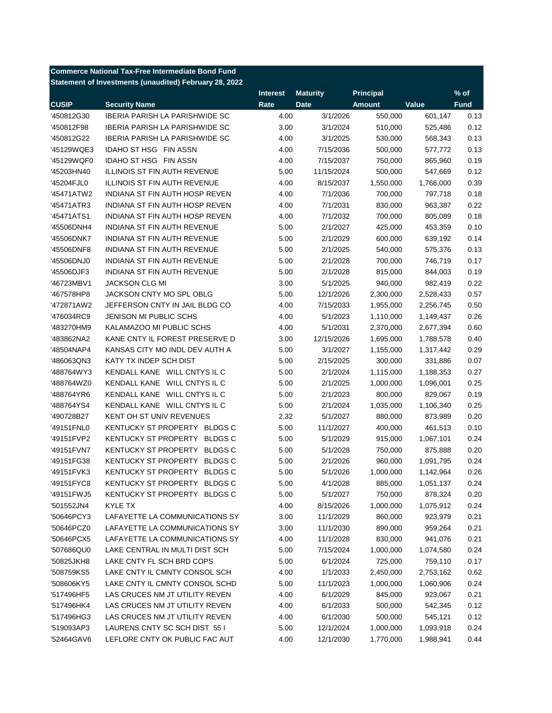|              | <b>Commerce National Tax-Free Intermediate Bond Fund</b> |                 |                 |                  |           |             |
|--------------|----------------------------------------------------------|-----------------|-----------------|------------------|-----------|-------------|
|              | Statement of Investments (unaudited) February 28, 2022   |                 |                 |                  |           |             |
|              |                                                          | <b>Interest</b> | <b>Maturity</b> | <b>Principal</b> |           | $%$ of      |
| <b>CUSIP</b> | <b>Security Name</b>                                     | Rate            | <b>Date</b>     | <b>Amount</b>    | Value     | <b>Fund</b> |
| '450812G30   | <b>IBERIA PARISH LA PARISHWIDE SC</b>                    | 4.00            | 3/1/2026        | 550,000          | 601,147   | 0.13        |
| '450812F98   | <b>IBERIA PARISH LA PARISHWIDE SC</b>                    | 3.00            | 3/1/2024        | 510,000          | 525,486   | 0.12        |
| '450812G22   | <b>IBERIA PARISH LA PARISHWIDE SC</b>                    | 4.00            | 3/1/2025        | 530,000          | 568,343   | 0.13        |
| '45129WQE3   | <b>IDAHO ST HSG FIN ASSN</b>                             | 4.00            | 7/15/2036       | 500,000          | 577,772   | 0.13        |
| '45129WQF0   | IDAHO ST HSG FIN ASSN                                    | 4.00            | 7/15/2037       | 750,000          | 865,960   | 0.19        |
| '45203HN40   | <b>ILLINOIS ST FIN AUTH REVENUE</b>                      | 5.00            | 11/15/2024      | 500,000          | 547,669   | 0.12        |
| '45204FJL0   | <b>ILLINOIS ST FIN AUTH REVENUE</b>                      | 4.00            | 8/15/2037       | 1,550,000        | 1,766,000 | 0.39        |
| '45471ATW2   | INDIANA ST FIN AUTH HOSP REVEN                           | 4.00            | 7/1/2036        | 700,000          | 797,718   | 0.18        |
| '45471ATR3   | INDIANA ST FIN AUTH HOSP REVEN                           | 4.00            | 7/1/2031        | 830,000          | 963,387   | 0.22        |
| '45471ATS1   | INDIANA ST FIN AUTH HOSP REVEN                           | 4.00            | 7/1/2032        | 700,000          | 805,089   | 0.18        |
| '45506DNH4   | INDIANA ST FIN AUTH REVENUE                              | 5.00            | 2/1/2027        | 425,000          | 453,359   | 0.10        |
| '45506DNK7   | INDIANA ST FIN AUTH REVENUE                              | 5.00            | 2/1/2029        | 600,000          | 639,192   | 0.14        |
| '45506DNF8   | INDIANA ST FIN AUTH REVENUE                              | 5.00            | 2/1/2025        | 540,000          | 575,376   | 0.13        |
| '45506DNJ0   | INDIANA ST FIN AUTH REVENUE                              | 5.00            | 2/1/2028        | 700,000          | 746,719   | 0.17        |
| '45506DJF3   | INDIANA ST FIN AUTH REVENUE                              | 5.00            | 2/1/2028        | 815,000          | 844,003   | 0.19        |
| '46723MBV1   | <b>JACKSON CLG MI</b>                                    | 3.00            | 5/1/2025        | 940,000          | 982,419   | 0.22        |
| '467578HP8   | JACKSON CNTY MO SPL OBLG                                 | 5.00            | 12/1/2026       | 2,300,000        | 2,528,433 | 0.57        |
| '472871AW2   | JEFFERSON CNTY IN JAIL BLDG CO                           | 4.00            | 7/15/2033       | 1,955,000        | 2,256,745 | 0.50        |
| '476034RC9   | <b>JENISON MI PUBLIC SCHS</b>                            | 4.00            | 5/1/2023        | 1,110,000        | 1,149,437 | 0.26        |
| '483270HM9   | KALAMAZOO MI PUBLIC SCHS                                 | 4.00            | 5/1/2031        | 2,370,000        | 2,677,394 | 0.60        |
| '483862NA2   | KANE CNTY IL FOREST PRESERVE D                           | 3.00            | 12/15/2026      | 1,695,000        | 1,788,578 | 0.40        |
| '48504NAP4   | KANSAS CITY MO INDL DEV AUTH A                           | 5.00            | 3/1/2027        | 1,155,000        | 1,317,442 | 0.29        |
| '486063QN3   | KATY TX INDEP SCH DIST                                   | 5.00            | 2/15/2025       | 300,000          | 331,886   | 0.07        |
| '488764WY3   | KENDALL KANE WILL CNTYS IL C                             | 5.00            | 2/1/2024        | 1,115,000        | 1,188,353 | 0.27        |
| '488764WZ0   | KENDALL KANE WILL CNTYS IL C                             | 5.00            | 2/1/2025        | 1,000,000        | 1,096,001 | 0.25        |
| '488764YR6   | KENDALL KANE WILL CNTYS IL C                             | 5.00            | 2/1/2023        | 800,000          | 829,067   | 0.19        |
| '488764YS4   | KENDALL KANE WILL CNTYS IL C                             | 5.00            | 2/1/2024        | 1,035,000        | 1,106,340 | 0.25        |
| '490728B27   | <b>KENT OH ST UNIV REVENUES</b>                          | 2.32            | 5/1/2027        | 880,000          | 873,989   | 0.20        |
| '49151FNL0   | KENTUCKY ST PROPERTY BLDGS C                             | 5.00            | 11/1/2027       | 400,000          | 461,513   | 0.10        |
| '49151FVP2   | KENTUCKY ST PROPERTY<br><b>BLDGS C</b>                   | 5.00            | 5/1/2029        | 915,000          | 1,067,101 | 0.24        |
| '49151FVN7   | <b>KENTUCKY ST PROPERTY</b><br><b>BLDGS C</b>            | 5.00            | 5/1/2028        | 750,000          | 875,888   | 0.20        |
| '49151FG38   | <b>KENTUCKY ST PROPERTY</b><br><b>BLDGS C</b>            | 5.00            | 2/1/2026        | 960,000          | 1,091,795 | 0.24        |
| '49151FVK3   | KENTUCKY ST PROPERTY<br><b>BLDGS C</b>                   | 5.00            | 5/1/2026        | 1,000,000        | 1,142,964 | 0.26        |
| '49151FYC8   | KENTUCKY ST PROPERTY<br><b>BLDGS C</b>                   | 5.00            | 4/1/2028        | 885,000          | 1,051,137 | 0.24        |
| '49151FWJ5   | <b>BLDGS C</b><br>KENTUCKY ST PROPERTY                   | 5.00            | 5/1/2027        | 750,000          | 878,324   | 0.20        |
| '501552JN4   | KYLE TX                                                  | 4.00            | 8/15/2026       | 1,000,000        | 1,075,912 | 0.24        |
| '50646PCY3   | LAFAYETTE LA COMMUNICATIONS SY                           | 3.00            | 11/1/2029       | 860,000          | 923,979   | 0.21        |
| '50646PCZ0   | LAFAYETTE LA COMMUNICATIONS SY                           | 3.00            | 11/1/2030       | 890,000          | 959,264   | 0.21        |
| '50646PCX5   | LAFAYETTE LA COMMUNICATIONS SY                           | 4.00            | 11/1/2028       | 830,000          | 941,076   | 0.21        |
| '507686QU0   | LAKE CENTRAL IN MULTI DIST SCH                           | 5.00            | 7/15/2024       | 1,000,000        | 1,074,580 | 0.24        |
| '50825JKH8   | LAKE CNTY FL SCH BRD COPS                                | 5.00            | 6/1/2024        | 725,000          | 759,110   | 0.17        |
| '508759KS5   | LAKE CNTY IL CMNTY CONSOL SCH                            | 4.00            | 1/1/2033        | 2,450,000        | 2,753,162 | 0.62        |
| '508606KY5   | LAKE CNTY IL CMNTY CONSOL SCHD                           | 5.00            | 11/1/2023       | 1,000,000        | 1,060,906 | 0.24        |
| '517496HF5   | LAS CRUCES NM JT UTILITY REVEN                           | 4.00            | 6/1/2029        | 845,000          | 923,067   | 0.21        |
| '517496HK4   | LAS CRUCES NM JT UTILITY REVEN                           | 4.00            | 6/1/2033        | 500,000          | 542,345   | 0.12        |
| '517496HG3   | LAS CRUCES NM JT UTILITY REVEN                           | 4.00            | 6/1/2030        | 500,000          | 545,121   | 0.12        |
| '519093AP3   | LAURENS CNTY SC SCH DIST 55 I                            | 5.00            | 12/1/2024       | 1,000,000        | 1,093,918 | 0.24        |
| '52464GAV6   | LEFLORE CNTY OK PUBLIC FAC AUT                           | 4.00            | 12/1/2030       | 1,770,000        | 1,988,941 | 0.44        |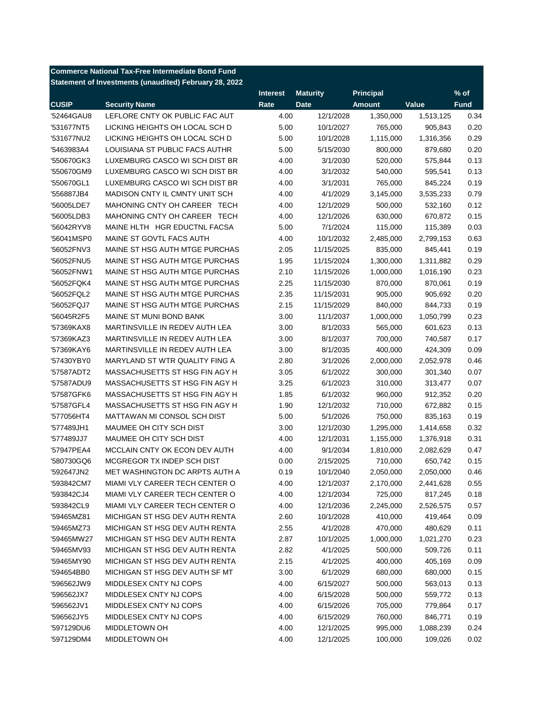| <b>Commerce National Tax-Free Intermediate Bond Fund</b> |                                                        |                 |                 |                  |           |             |  |
|----------------------------------------------------------|--------------------------------------------------------|-----------------|-----------------|------------------|-----------|-------------|--|
|                                                          | Statement of Investments (unaudited) February 28, 2022 |                 |                 |                  |           |             |  |
|                                                          |                                                        | <b>Interest</b> | <b>Maturity</b> | <b>Principal</b> |           | $%$ of      |  |
| <b>CUSIP</b>                                             | <b>Security Name</b>                                   | Rate            | <b>Date</b>     | <b>Amount</b>    | Value     | <b>Fund</b> |  |
| '52464GAU8                                               | LEFLORE CNTY OK PUBLIC FAC AUT                         | 4.00            | 12/1/2028       | 1,350,000        | 1,513,125 | 0.34        |  |
| '531677NT5                                               | LICKING HEIGHTS OH LOCAL SCH D                         | 5.00            | 10/1/2027       | 765,000          | 905,843   | 0.20        |  |
| '531677NU2                                               | LICKING HEIGHTS OH LOCAL SCH D                         | 5.00            | 10/1/2028       | 1,115,000        | 1,316,356 | 0.29        |  |
| '5463983A4                                               | LOUISIANA ST PUBLIC FACS AUTHR                         | 5.00            | 5/15/2030       | 800,000          | 879,680   | 0.20        |  |
| '550670GK3                                               | LUXEMBURG CASCO WI SCH DIST BR                         | 4.00            | 3/1/2030        | 520,000          | 575,844   | 0.13        |  |
| '550670GM9                                               | LUXEMBURG CASCO WI SCH DIST BR                         | 4.00            | 3/1/2032        | 540,000          | 595,541   | 0.13        |  |
| '550670GL1                                               | LUXEMBURG CASCO WI SCH DIST BR                         | 4.00            | 3/1/2031        | 765,000          | 845,224   | 0.19        |  |
| '556887JB4                                               | MADISON CNTY IL CMNTY UNIT SCH                         | 4.00            | 4/1/2029        | 3,145,000        | 3,535,233 | 0.79        |  |
| '56005LDE7                                               | MAHONING CNTY OH CAREER TECH                           | 4.00            | 12/1/2029       | 500,000          | 532,160   | 0.12        |  |
| '56005LDB3                                               | MAHONING CNTY OH CAREER TECH                           | 4.00            | 12/1/2026       | 630,000          | 670,872   | 0.15        |  |
| '56042RYV8                                               | MAINE HLTH HGR EDUCTNL FACSA                           | 5.00            | 7/1/2024        | 115,000          | 115,389   | 0.03        |  |
| '56041MSP0                                               | MAINE ST GOVTL FACS AUTH                               | 4.00            | 10/1/2032       | 2,485,000        | 2,799,153 | 0.63        |  |
| '56052FNV3                                               | MAINE ST HSG AUTH MTGE PURCHAS                         | 2.05            | 11/15/2025      | 835,000          | 845,441   | 0.19        |  |
| '56052FNU5                                               | MAINE ST HSG AUTH MTGE PURCHAS                         | 1.95            | 11/15/2024      | 1,300,000        | 1,311,882 | 0.29        |  |
| '56052FNW1                                               | MAINE ST HSG AUTH MTGE PURCHAS                         | 2.10            | 11/15/2026      | 1,000,000        | 1,016,190 | 0.23        |  |
| '56052FQK4                                               | MAINE ST HSG AUTH MTGE PURCHAS                         | 2.25            | 11/15/2030      | 870,000          | 870,061   | 0.19        |  |
| '56052FQL2                                               | MAINE ST HSG AUTH MTGE PURCHAS                         | 2.35            | 11/15/2031      | 905,000          | 905,692   | 0.20        |  |
| '56052FQJ7                                               | MAINE ST HSG AUTH MTGE PURCHAS                         | 2.15            | 11/15/2029      | 840,000          | 844.733   | 0.19        |  |
| '56045R2F5                                               | MAINE ST MUNI BOND BANK                                | 3.00            | 11/1/2037       | 1,000,000        | 1,050,799 | 0.23        |  |
| '57369KAX8                                               | MARTINSVILLE IN REDEV AUTH LEA                         | 3.00            | 8/1/2033        | 565,000          | 601,623   | 0.13        |  |
| '57369KAZ3                                               | MARTINSVILLE IN REDEV AUTH LEA                         | 3.00            | 8/1/2037        | 700,000          | 740,587   | 0.17        |  |
| '57369KAY6                                               | MARTINSVILLE IN REDEV AUTH LEA                         | 3.00            | 8/1/2035        | 400,000          | 424,309   | 0.09        |  |
| '57430YBY0                                               | MARYLAND ST WTR QUALITY FING A                         | 2.80            | 3/1/2026        | 2,000,000        | 2,052,978 | 0.46        |  |
| '57587ADT2                                               | MASSACHUSETTS ST HSG FIN AGY H                         | 3.05            | 6/1/2022        | 300,000          | 301,340   | 0.07        |  |
| '57587ADU9                                               | MASSACHUSETTS ST HSG FIN AGY H                         | 3.25            | 6/1/2023        | 310,000          | 313,477   | 0.07        |  |
| '57587GFK6                                               | MASSACHUSETTS ST HSG FIN AGY H                         | 1.85            | 6/1/2032        | 960,000          | 912,352   | 0.20        |  |
| '57587GFL4                                               | MASSACHUSETTS ST HSG FIN AGY H                         | 1.90            | 12/1/2032       | 710,000          | 672,882   | 0.15        |  |
| '577056HT4                                               | MATTAWAN MI CONSOL SCH DIST                            | 5.00            | 5/1/2026        | 750,000          | 835,163   | 0.19        |  |
| '577489JH1                                               | MAUMEE OH CITY SCH DIST                                | 3.00            | 12/1/2030       | 1,295,000        | 1,414,658 | 0.32        |  |
| '577489JJ7                                               | MAUMEE OH CITY SCH DIST                                | 4.00            | 12/1/2031       | 1,155,000        | 1,376,918 | 0.31        |  |
| '57947PEA4                                               | MCCLAIN CNTY OK ECON DEV AUTH                          | 4.00            | 9/1/2034        | 1,810,000        | 2,082,629 | 0.47        |  |
| '580730GQ6                                               | MCGREGOR TX INDEP SCH DIST                             | 0.00            | 2/15/2025       | 710,000          | 650,742   | 0.15        |  |
| '592647JN2                                               | MET WASHINGTON DC ARPTS AUTH A                         | 0.19            | 10/1/2040       | 2,050,000        | 2,050,000 | 0.46        |  |
| '593842CM7                                               | MIAMI VLY CAREER TECH CENTER O                         | 4.00            | 12/1/2037       | 2,170,000        | 2,441,628 | 0.55        |  |
| '593842CJ4                                               | MIAMI VLY CAREER TECH CENTER O                         | 4.00            | 12/1/2034       | 725,000          | 817,245   | 0.18        |  |
| '593842CL9                                               | MIAMI VLY CAREER TECH CENTER O                         | 4.00            | 12/1/2036       | 2,245,000        | 2,526,575 | 0.57        |  |
| '59465MZ81                                               | MICHIGAN ST HSG DEV AUTH RENTA                         | 2.60            | 10/1/2028       | 410,000          | 419,464   | 0.09        |  |
| '59465MZ73                                               | MICHIGAN ST HSG DEV AUTH RENTA                         | 2.55            | 4/1/2028        | 470,000          | 480,629   | 0.11        |  |
| '59465MW27                                               | MICHIGAN ST HSG DEV AUTH RENTA                         | 2.87            | 10/1/2025       | 1,000,000        | 1,021,270 | 0.23        |  |
| '59465MV93                                               | MICHIGAN ST HSG DEV AUTH RENTA                         | 2.82            | 4/1/2025        | 500,000          | 509,726   | 0.11        |  |
| '59465MY90                                               | MICHIGAN ST HSG DEV AUTH RENTA                         | 2.15            | 4/1/2025        | 400,000          | 405,169   | 0.09        |  |
| '594654BB0                                               | MICHIGAN ST HSG DEV AUTH SF MT                         | 3.00            | 6/1/2029        | 680,000          | 680,000   | 0.15        |  |
| '596562JW9                                               | MIDDLESEX CNTY NJ COPS                                 | 4.00            | 6/15/2027       | 500,000          | 563,013   | 0.13        |  |
| '596562JX7                                               | MIDDLESEX CNTY NJ COPS                                 | 4.00            | 6/15/2028       | 500,000          | 559,772   | 0.13        |  |
| '596562JV1                                               | MIDDLESEX CNTY NJ COPS                                 | 4.00            | 6/15/2026       | 705,000          | 779,864   | 0.17        |  |
| '596562JY5                                               | MIDDLESEX CNTY NJ COPS                                 | 4.00            | 6/15/2029       | 760,000          | 846,771   | 0.19        |  |
| '597129DU6                                               | MIDDLETOWN OH                                          | 4.00            | 12/1/2025       | 995,000          | 1,088,239 | 0.24        |  |
| '597129DM4                                               | MIDDLETOWN OH                                          | 4.00            | 12/1/2025       | 100,000          | 109,026   | 0.02        |  |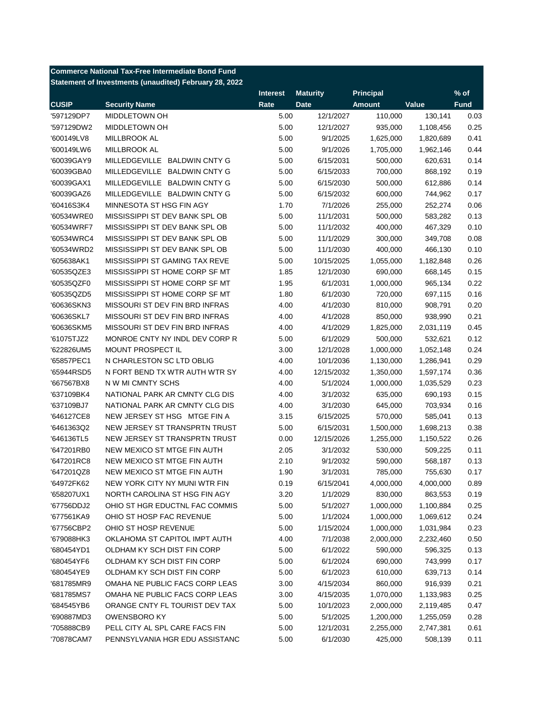|              | <b>Commerce National Tax-Free Intermediate Bond Fund</b> |                 |                 |                  |           |             |
|--------------|----------------------------------------------------------|-----------------|-----------------|------------------|-----------|-------------|
|              | Statement of Investments (unaudited) February 28, 2022   |                 |                 |                  |           |             |
|              |                                                          | <b>Interest</b> | <b>Maturity</b> | <b>Principal</b> |           | $%$ of      |
| <b>CUSIP</b> | <b>Security Name</b>                                     | Rate            | <b>Date</b>     | <b>Amount</b>    | Value     | <b>Fund</b> |
| '597129DP7   | MIDDLETOWN OH                                            | 5.00            | 12/1/2027       | 110,000          | 130,141   | 0.03        |
| '597129DW2   | <b>MIDDLETOWN OH</b>                                     | 5.00            | 12/1/2027       | 935,000          | 1,108,456 | 0.25        |
| '600149LV8   | MILLBROOK AL                                             | 5.00            | 9/1/2025        | 1,625,000        | 1,820,689 | 0.41        |
| '600149LW6   | MILLBROOK AL                                             | 5.00            | 9/1/2026        | 1,705,000        | 1,962,146 | 0.44        |
| '60039GAY9   | MILLEDGEVILLE BALDWIN CNTY G                             | 5.00            | 6/15/2031       | 500,000          | 620,631   | 0.14        |
| '60039GBA0   | MILLEDGEVILLE BALDWIN CNTY G                             | 5.00            | 6/15/2033       | 700,000          | 868,192   | 0.19        |
| '60039GAX1   | MILLEDGEVILLE BALDWIN CNTY G                             | 5.00            | 6/15/2030       | 500,000          | 612,886   | 0.14        |
| '60039GAZ6   | MILLEDGEVILLE BALDWIN CNTY G                             | 5.00            | 6/15/2032       | 600,000          | 744,962   | 0.17        |
| '60416S3K4   | MINNESOTA ST HSG FIN AGY                                 | 1.70            | 7/1/2026        | 255,000          | 252,274   | 0.06        |
| '60534WRE0   | MISSISSIPPI ST DEV BANK SPL OB                           | 5.00            | 11/1/2031       | 500,000          | 583,282   | 0.13        |
| '60534WRF7   | MISSISSIPPI ST DEV BANK SPL OB                           | 5.00            | 11/1/2032       | 400,000          | 467,329   | 0.10        |
| '60534WRC4   | MISSISSIPPI ST DEV BANK SPL OB                           | 5.00            | 11/1/2029       | 300,000          | 349,708   | 0.08        |
| '60534WRD2   | MISSISSIPPI ST DEV BANK SPL OB                           | 5.00            | 11/1/2030       | 400,000          | 466,130   | 0.10        |
| '605638AK1   | MISSISSIPPI ST GAMING TAX REVE                           | 5.00            | 10/15/2025      | 1,055,000        | 1,182,848 | 0.26        |
| '60535QZE3   | MISSISSIPPI ST HOME CORP SF MT                           | 1.85            | 12/1/2030       | 690,000          | 668,145   | 0.15        |
| '60535QZF0   | MISSISSIPPI ST HOME CORP SF MT                           | 1.95            | 6/1/2031        | 1,000,000        | 965,134   | 0.22        |
| '60535QZD5   | MISSISSIPPI ST HOME CORP SF MT                           | 1.80            | 6/1/2030        | 720,000          | 697,115   | 0.16        |
| '60636SKN3   | MISSOURI ST DEV FIN BRD INFRAS                           | 4.00            | 4/1/2030        | 810,000          | 908,791   | 0.20        |
| '60636SKL7   | MISSOURI ST DEV FIN BRD INFRAS                           | 4.00            | 4/1/2028        | 850,000          | 938,990   | 0.21        |
| '60636SKM5   | MISSOURI ST DEV FIN BRD INFRAS                           | 4.00            | 4/1/2029        | 1,825,000        | 2,031,119 | 0.45        |
| '61075TJZ2   | MONROE CNTY NY INDL DEV CORP R                           | 5.00            | 6/1/2029        | 500,000          | 532,621   | 0.12        |
| '622826UM5   | <b>MOUNT PROSPECT IL</b>                                 | 3.00            | 12/1/2028       | 1,000,000        | 1,052,148 | 0.24        |
| '65857PEC1   | N CHARLESTON SC LTD OBLIG                                | 4.00            | 10/1/2036       | 1,130,000        | 1,286,941 | 0.29        |
| '65944RSD5   | N FORT BEND TX WTR AUTH WTR SY                           | 4.00            | 12/15/2032      | 1,350,000        | 1,597,174 | 0.36        |
| '667567BX8   | N W MI CMNTY SCHS                                        | 4.00            | 5/1/2024        | 1,000,000        | 1,035,529 | 0.23        |
| '637109BK4   | NATIONAL PARK AR CMNTY CLG DIS                           | 4.00            | 3/1/2032        | 635,000          | 690,193   | 0.15        |
| '637109BJ7   | NATIONAL PARK AR CMNTY CLG DIS                           | 4.00            | 3/1/2030        | 645,000          | 703,934   | 0.16        |
| '646127CE8   | NEW JERSEY ST HSG MTGE FIN A                             | 3.15            | 6/15/2025       | 570,000          | 585,041   | 0.13        |
| '6461363Q2   | NEW JERSEY ST TRANSPRTN TRUST                            | 5.00            | 6/15/2031       | 1,500,000        | 1,698,213 | 0.38        |
| '646136TL5   | NEW JERSEY ST TRANSPRTN TRUST                            | 0.00            | 12/15/2026      | 1,255,000        | 1,150,522 | 0.26        |
| '647201RB0   | NEW MEXICO ST MTGE FIN AUTH                              | 2.05            | 3/1/2032        | 530,000          | 509,225   | 0.11        |
| '647201RC8   | NEW MEXICO ST MTGE FIN AUTH                              | 2.10            | 9/1/2032        | 590,000          | 568,187   | 0.13        |
| '647201QZ8   | NEW MEXICO ST MTGE FIN AUTH                              | 1.90            | 3/1/2031        | 785,000          | 755,630   | 0.17        |
| '64972FK62   | NEW YORK CITY NY MUNI WTR FIN                            | 0.19            | 6/15/2041       | 4,000,000        | 4,000,000 | 0.89        |
| '658207UX1   | NORTH CAROLINA ST HSG FIN AGY                            | 3.20            | 1/1/2029        | 830,000          | 863,553   | 0.19        |
| '67756DDJ2   | OHIO ST HGR EDUCTNL FAC COMMIS                           | 5.00            | 5/1/2027        | 1,000,000        | 1,100,884 | 0.25        |
| '677561KA9   | OHIO ST HOSP FAC REVENUE                                 | 5.00            | 1/1/2024        | 1,000,000        | 1,069,612 | 0.24        |
| '67756CBP2   | OHIO ST HOSP REVENUE                                     | 5.00            | 1/15/2024       | 1,000,000        | 1,031,984 | 0.23        |
| '679088HK3   | OKLAHOMA ST CAPITOL IMPT AUTH                            | 4.00            | 7/1/2038        | 2,000,000        | 2,232,460 | 0.50        |
| '680454YD1   | OLDHAM KY SCH DIST FIN CORP                              | 5.00            | 6/1/2022        | 590,000          | 596,325   | 0.13        |
| '680454YF6   | OLDHAM KY SCH DIST FIN CORP                              | 5.00            | 6/1/2024        | 690,000          | 743,999   | 0.17        |
| '680454YE9   | OLDHAM KY SCH DIST FIN CORP                              | 5.00            | 6/1/2023        | 610,000          | 639,713   | 0.14        |
| '681785MR9   | OMAHA NE PUBLIC FACS CORP LEAS                           | 3.00            | 4/15/2034       | 860,000          | 916,939   | 0.21        |
| '681785MS7   | OMAHA NE PUBLIC FACS CORP LEAS                           | 3.00            | 4/15/2035       | 1,070,000        | 1,133,983 | 0.25        |
| '684545YB6   | ORANGE CNTY FL TOURIST DEV TAX                           | 5.00            | 10/1/2023       | 2,000,000        | 2,119,485 | 0.47        |
| '690887MD3   | <b>OWENSBORO KY</b>                                      | 5.00            | 5/1/2025        | 1,200,000        | 1,255,059 | 0.28        |
| '705888CB9   | PELL CITY AL SPL CARE FACS FIN                           | 5.00            | 12/1/2031       | 2,255,000        | 2,747,381 | 0.61        |
| '70878CAM7   | PENNSYLVANIA HGR EDU ASSISTANC                           | 5.00            | 6/1/2030        | 425,000          | 508,139   | 0.11        |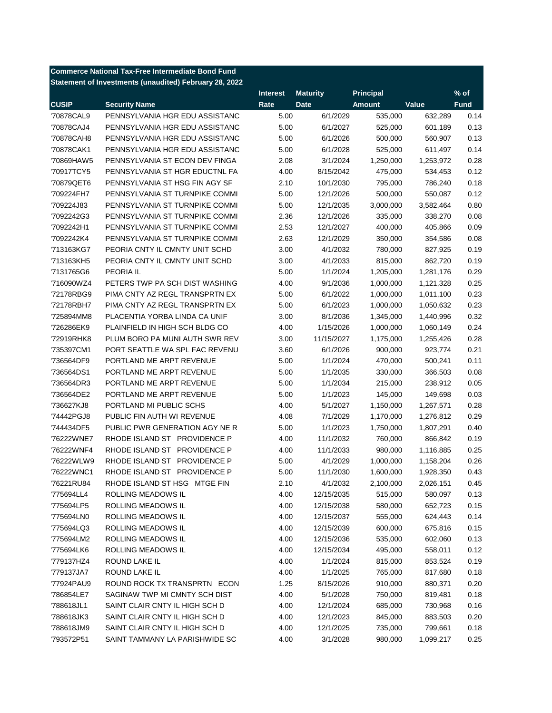**Commerce National Tax-Free Intermediate Bond Fund Statement of Investments (unaudited) February 28, 2022**

|              |                                | <b>Interest</b> | <b>Maturity</b> | <b>Principal</b> |           | $%$ of      |
|--------------|--------------------------------|-----------------|-----------------|------------------|-----------|-------------|
| <b>CUSIP</b> | <b>Security Name</b>           | Rate            | <b>Date</b>     | <b>Amount</b>    | Value     | <b>Fund</b> |
| '70878CAL9   | PENNSYLVANIA HGR EDU ASSISTANC | 5.00            | 6/1/2029        | 535,000          | 632,289   | 0.14        |
| '70878CAJ4   | PENNSYLVANIA HGR EDU ASSISTANC | 5.00            | 6/1/2027        | 525,000          | 601,189   | 0.13        |
| '70878CAH8   | PENNSYLVANIA HGR EDU ASSISTANC | 5.00            | 6/1/2026        | 500,000          | 560,907   | 0.13        |
| '70878CAK1   | PENNSYLVANIA HGR EDU ASSISTANC | 5.00            | 6/1/2028        | 525,000          | 611,497   | 0.14        |
| '70869HAW5   | PENNSYLVANIA ST ECON DEV FINGA | 2.08            | 3/1/2024        | 1,250,000        | 1,253,972 | 0.28        |
| '70917TCY5   | PENNSYLVANIA ST HGR EDUCTNL FA | 4.00            | 8/15/2042       | 475,000          | 534,453   | 0.12        |
| '70879QET6   | PENNSYLVANIA ST HSG FIN AGY SF | 2.10            | 10/1/2030       | 795,000          | 786,240   | 0.18        |
| '709224FH7   | PENNSYLVANIA ST TURNPIKE COMMI | 5.00            | 12/1/2026       | 500,000          | 550,087   | 0.12        |
| '709224J83   | PENNSYLVANIA ST TURNPIKE COMMI | 5.00            | 12/1/2035       | 3,000,000        | 3,582,464 | 0.80        |
| '7092242G3   | PENNSYLVANIA ST TURNPIKE COMMI | 2.36            | 12/1/2026       | 335,000          | 338,270   | 0.08        |
| '7092242H1   | PENNSYLVANIA ST TURNPIKE COMMI | 2.53            | 12/1/2027       | 400,000          | 405,866   | 0.09        |
| '7092242K4   | PENNSYLVANIA ST TURNPIKE COMMI | 2.63            | 12/1/2029       | 350,000          | 354,586   | 0.08        |
| '713163KG7   | PEORIA CNTY IL CMNTY UNIT SCHD | 3.00            | 4/1/2032        | 780,000          | 827,925   | 0.19        |
| '713163KH5   | PEORIA CNTY IL CMNTY UNIT SCHD | 3.00            | 4/1/2033        | 815,000          | 862,720   | 0.19        |
| '7131765G6   | PEORIA IL                      | 5.00            | 1/1/2024        | 1,205,000        | 1,281,176 | 0.29        |
| '716090WZ4   | PETERS TWP PA SCH DIST WASHING | 4.00            | 9/1/2036        | 1,000,000        | 1,121,328 | 0.25        |
| '72178RBG9   | PIMA CNTY AZ REGL TRANSPRTN EX | 5.00            | 6/1/2022        | 1,000,000        | 1,011,100 | 0.23        |
| '72178RBH7   | PIMA CNTY AZ REGL TRANSPRTN EX | 5.00            | 6/1/2023        | 1,000,000        | 1,050,632 | 0.23        |
| '725894MM8   | PLACENTIA YORBA LINDA CA UNIF  | 3.00            | 8/1/2036        | 1,345,000        | 1,440,996 | 0.32        |
| '726286EK9   | PLAINFIELD IN HIGH SCH BLDG CO | 4.00            | 1/15/2026       | 1,000,000        | 1,060,149 | 0.24        |
| '72919RHK8   | PLUM BORO PA MUNI AUTH SWR REV | 3.00            | 11/15/2027      | 1,175,000        | 1,255,426 | 0.28        |
| '735397CM1   | PORT SEATTLE WA SPL FAC REVENU | 3.60            | 6/1/2026        | 900,000          | 923,774   | 0.21        |
| '736564DF9   | PORTLAND ME ARPT REVENUE       | 5.00            | 1/1/2024        | 470,000          | 500,241   | 0.11        |
| '736564DS1   | PORTLAND ME ARPT REVENUE       | 5.00            | 1/1/2035        | 330,000          | 366,503   | 0.08        |
| '736564DR3   | PORTLAND ME ARPT REVENUE       | 5.00            | 1/1/2034        | 215,000          | 238,912   | 0.05        |
| '736564DE2   | PORTLAND ME ARPT REVENUE       | 5.00            | 1/1/2023        | 145,000          | 149,698   | 0.03        |
| '736627KJ8   | PORTLAND MI PUBLIC SCHS        | 4.00            | 5/1/2027        | 1,150,000        | 1,267,571 | 0.28        |
| '74442PGJ8   | PUBLIC FIN AUTH WI REVENUE     | 4.08            | 7/1/2029        | 1,170,000        | 1,276,812 | 0.29        |
| '744434DF5   | PUBLIC PWR GENERATION AGY NE R | 5.00            | 1/1/2023        | 1,750,000        | 1,807,291 | 0.40        |
| '76222WNE7   | RHODE ISLAND ST PROVIDENCE P   | 4.00            | 11/1/2032       | 760,000          | 866,842   | 0.19        |
| '76222WNF4   | RHODE ISLAND ST PROVIDENCE P   | 4.00            | 11/1/2033       | 980,000          | 1,116,885 | 0.25        |
| '76222WLW9   | RHODE ISLAND ST PROVIDENCE P   | 5.00            | 4/1/2029        | 1,000,000        | 1,158,204 | 0.26        |
| '76222WNC1   | RHODE ISLAND ST PROVIDENCE P   | 5.00            | 11/1/2030       | 1,600,000        | 1,928,350 | 0.43        |
| '76221RU84   | RHODE ISLAND ST HSG MTGE FIN   | 2.10            | 4/1/2032        | 2,100,000        | 2,026,151 | 0.45        |
| '775694LL4   | ROLLING MEADOWS IL             | 4.00            | 12/15/2035      | 515,000          | 580,097   | 0.13        |
| '775694LP5   | ROLLING MEADOWS IL             | 4.00            | 12/15/2038      | 580,000          | 652,723   | 0.15        |
| '775694LN0   | <b>ROLLING MEADOWS IL</b>      | 4.00            | 12/15/2037      | 555,000          | 624,443   | 0.14        |
| '775694LQ3   | ROLLING MEADOWS IL             | 4.00            | 12/15/2039      | 600,000          | 675,816   | 0.15        |
| '775694LM2   | ROLLING MEADOWS IL             | 4.00            | 12/15/2036      | 535,000          | 602,060   | 0.13        |
| '775694LK6   | ROLLING MEADOWS IL             | 4.00            | 12/15/2034      | 495,000          | 558,011   | 0.12        |
| '779137HZ4   | ROUND LAKE IL                  | 4.00            | 1/1/2024        | 815,000          | 853,524   | 0.19        |
| '779137JA7   | ROUND LAKE IL                  | 4.00            | 1/1/2025        | 765,000          | 817,680   | 0.18        |
| '77924PAU9   | ROUND ROCK TX TRANSPRTN ECON   | 1.25            | 8/15/2026       | 910,000          | 880,371   | 0.20        |
| '786854LE7   | SAGINAW TWP MI CMNTY SCH DIST  | 4.00            | 5/1/2028        | 750,000          | 819,481   | 0.18        |
| '788618JL1   | SAINT CLAIR CNTY IL HIGH SCH D | 4.00            | 12/1/2024       | 685,000          | 730,968   | 0.16        |
| '788618JK3   | SAINT CLAIR CNTY IL HIGH SCH D | 4.00            | 12/1/2023       | 845,000          | 883,503   | 0.20        |
| '788618JM9   | SAINT CLAIR CNTY IL HIGH SCH D | 4.00            | 12/1/2025       | 735,000          | 799,661   | 0.18        |
| '793572P51   | SAINT TAMMANY LA PARISHWIDE SC | 4.00            | 3/1/2028        | 980,000          | 1,099,217 | 0.25        |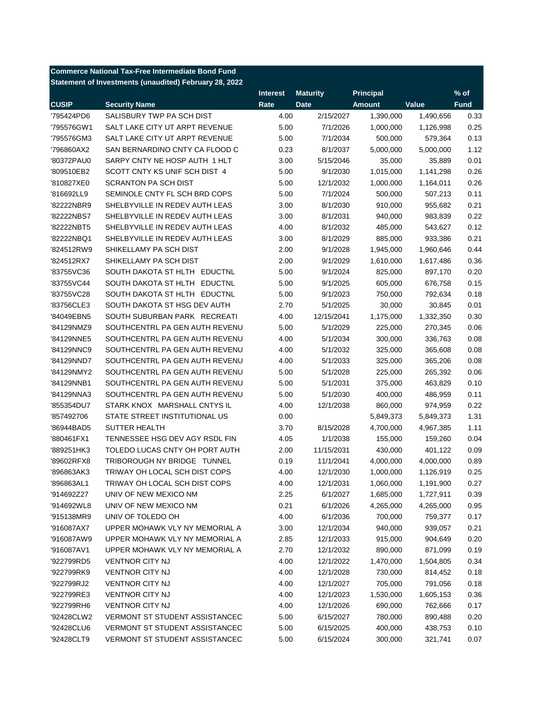|              | <b>Commerce National Tax-Free Intermediate Bond Fund</b> |                 |                        |                      |                      |              |
|--------------|----------------------------------------------------------|-----------------|------------------------|----------------------|----------------------|--------------|
|              | Statement of Investments (unaudited) February 28, 2022   |                 |                        |                      |                      |              |
|              |                                                          | <b>Interest</b> | <b>Maturity</b>        | <b>Principal</b>     |                      | $%$ of       |
| <b>CUSIP</b> | <b>Security Name</b>                                     | Rate            | <b>Date</b>            | <b>Amount</b>        | Value                | <b>Fund</b>  |
| '795424PD6   | SALISBURY TWP PA SCH DIST                                | 4.00            | 2/15/2027              | 1,390,000            | 1,490,656            | 0.33         |
| '795576GW1   | SALT LAKE CITY UT ARPT REVENUE                           | 5.00            | 7/1/2026               | 1,000,000            | 1,126,998            | 0.25         |
| '795576GM3   | SALT LAKE CITY UT ARPT REVENUE                           | 5.00            | 7/1/2034               | 500,000              | 579,364              | 0.13         |
| '796860AX2   | SAN BERNARDINO CNTY CA FLOOD C                           | 0.23            | 8/1/2037               | 5,000,000            | 5,000,000            | 1.12         |
| '80372PAU0   | SARPY CNTY NE HOSP AUTH 1 HLT                            | 3.00            | 5/15/2046              | 35,000               | 35,889               | 0.01         |
| '809510EB2   | SCOTT CNTY KS UNIF SCH DIST 4                            | 5.00            | 9/1/2030               | 1,015,000            | 1,141,298            | 0.26         |
| '810827XE0   | <b>SCRANTON PA SCH DIST</b>                              | 5.00            | 12/1/2032              | 1,000,000            | 1,164,011            | 0.26         |
| '816692LL9   | SEMINOLE CNTY FL SCH BRD COPS                            | 5.00            | 7/1/2024               | 500,000              | 507,213              | 0.11         |
| '82222NBR9   | SHELBYVILLE IN REDEV AUTH LEAS                           | 3.00            | 8/1/2030               | 910,000              | 955,682              | 0.21         |
| '82222NBS7   | SHELBYVILLE IN REDEV AUTH LEAS                           | 3.00            | 8/1/2031               | 940,000              | 983,839              | 0.22         |
| '82222NBT5   | SHELBYVILLE IN REDEV AUTH LEAS                           | 4.00            | 8/1/2032               | 485,000              | 543,627              | 0.12         |
| '82222NBQ1   | SHELBYVILLE IN REDEV AUTH LEAS                           | 3.00            | 8/1/2029               | 885,000              | 933,386              | 0.21         |
| '824512RW9   | SHIKELLAMY PA SCH DIST                                   | 2.00            | 9/1/2028               | 1,945,000            | 1,960,646            | 0.44         |
| '824512RX7   | SHIKELLAMY PA SCH DIST                                   | 2.00            | 9/1/2029               | 1,610,000            | 1,617,486            | 0.36         |
| '83755VC36   | SOUTH DAKOTA ST HLTH EDUCTNL                             | 5.00            | 9/1/2024               | 825,000              | 897,170              | 0.20         |
| '83755VC44   | SOUTH DAKOTA ST HLTH EDUCTNL                             | 5.00            | 9/1/2025               | 605,000              | 676,758              | 0.15         |
| '83755VC28   | SOUTH DAKOTA ST HLTH EDUCTNL                             | 5.00            | 9/1/2023               | 750,000              | 792,634              | 0.18         |
| '83756CLE3   | SOUTH DAKOTA ST HSG DEV AUTH                             | 2.70            | 5/1/2025               | 30,000               | 30,845               | 0.01         |
| '84049EBN5   | SOUTH SUBURBAN PARK RECREATI                             | 4.00            | 12/15/2041             | 1,175,000            | 1,332,350            | 0.30         |
| '84129NMZ9   | SOUTHCENTRL PA GEN AUTH REVENU                           | 5.00            | 5/1/2029               | 225,000              | 270,345              | 0.06         |
| '84129NNE5   | SOUTHCENTRL PA GEN AUTH REVENU                           | 4.00            | 5/1/2034               | 300,000              | 336,763              | 0.08         |
| '84129NNC9   | SOUTHCENTRL PA GEN AUTH REVENU                           | 4.00            | 5/1/2032               | 325,000              | 365,608              | 0.08         |
| '84129NND7   | SOUTHCENTRL PA GEN AUTH REVENU                           | 4.00            | 5/1/2033               | 325,000              | 365,206              | 0.08         |
| '84129NMY2   | SOUTHCENTRL PA GEN AUTH REVENU                           | 5.00            | 5/1/2028               | 225,000              | 265,392              | 0.06         |
| '84129NNB1   | SOUTHCENTRL PA GEN AUTH REVENU                           | 5.00            | 5/1/2031               | 375,000              | 463,829              | 0.10         |
| '84129NNA3   | SOUTHCENTRL PA GEN AUTH REVENU                           | 5.00            | 5/1/2030               | 400,000              | 486,959              | 0.11         |
| '855354DU7   | STARK KNOX MARSHALL CNTYS IL                             | 4.00            | 12/1/2038              | 860,000              | 974,959              | 0.22         |
| '857492706   | STATE STREET INSTITUTIONAL US                            | 0.00            |                        | 5,849,373            | 5,849,373            | 1.31         |
| '86944BAD5   | <b>SUTTER HEALTH</b>                                     | 3.70            | 8/15/2028              | 4,700,000            | 4,967,385            | 1.11         |
| '880461FX1   | TENNESSEE HSG DEV AGY RSDL FIN                           | 4.05            | 1/1/2038               | 155,000              | 159,260              | 0.04         |
| '889251HK3   | TOLEDO LUCAS CNTY OH PORT AUTH                           | 2.00            | 11/15/2031             | 430,000              | 401,122              | 0.09         |
| '89602RFX8   | TRIBOROUGH NY BRIDGE TUNNEL                              | 0.19            | 11/1/2041              | 4,000,000            | 4,000,000            | 0.89         |
| '896863AK3   | TRIWAY OH LOCAL SCH DIST COPS                            | 4.00            | 12/1/2030              | 1,000,000            | 1,126,919            | 0.25         |
| '896863AL1   | TRIWAY OH LOCAL SCH DIST COPS                            | 4.00            | 12/1/2031              | 1,060,000            | 1,191,900            | 0.27         |
| '914692Z27   | UNIV OF NEW MEXICO NM                                    | 2.25            | 6/1/2027               | 1,685,000            | 1,727,911            | 0.39         |
| '914692WL8   | UNIV OF NEW MEXICO NM                                    | 0.21            | 6/1/2026               | 4,265,000            | 4,265,000            | 0.95         |
| '915138MR9   | UNIV OF TOLEDO OH                                        | 4.00            | 6/1/2036               | 700,000              | 759,377              | 0.17         |
| '916087AX7   | UPPER MOHAWK VLY NY MEMORIAL A                           | 3.00            | 12/1/2034              | 940,000              | 939,057              | 0.21         |
| '916087AW9   | UPPER MOHAWK VLY NY MEMORIAL A                           | 2.85            | 12/1/2033              | 915,000              | 904,649              | 0.20         |
| '916087AV1   | UPPER MOHAWK VLY NY MEMORIAL A                           | 2.70            | 12/1/2032              | 890,000              | 871,099              | 0.19         |
| '922799RD5   | <b>VENTNOR CITY NJ</b>                                   | 4.00            | 12/1/2022              | 1,470,000            | 1,504,805            | 0.34         |
| '922799RK9   | <b>VENTNOR CITY NJ</b>                                   | 4.00            | 12/1/2028              | 730,000              | 814,452              | 0.18         |
| '922799RJ2   | <b>VENTNOR CITY NJ</b>                                   | 4.00            | 12/1/2027              | 705,000              | 791,056              | 0.18         |
| '922799RE3   | <b>VENTNOR CITY NJ</b>                                   |                 |                        |                      |                      |              |
| '922799RH6   | <b>VENTNOR CITY NJ</b>                                   | 4.00<br>4.00    | 12/1/2023<br>12/1/2026 | 1,530,000<br>690,000 | 1,605,153<br>762,666 | 0.36<br>0.17 |
| '92428CLW2   | <b>VERMONT ST STUDENT ASSISTANCEC</b>                    | 5.00            | 6/15/2027              | 780,000              | 890,488              | 0.20         |
| '92428CLU6   | <b>VERMONT ST STUDENT ASSISTANCEC</b>                    | 5.00            | 6/15/2025              | 400,000              | 438,753              | 0.10         |
| '92428CLT9   | VERMONT ST STUDENT ASSISTANCEC                           | 5.00            | 6/15/2024              | 300,000              | 321,741              | 0.07         |
|              |                                                          |                 |                        |                      |                      |              |